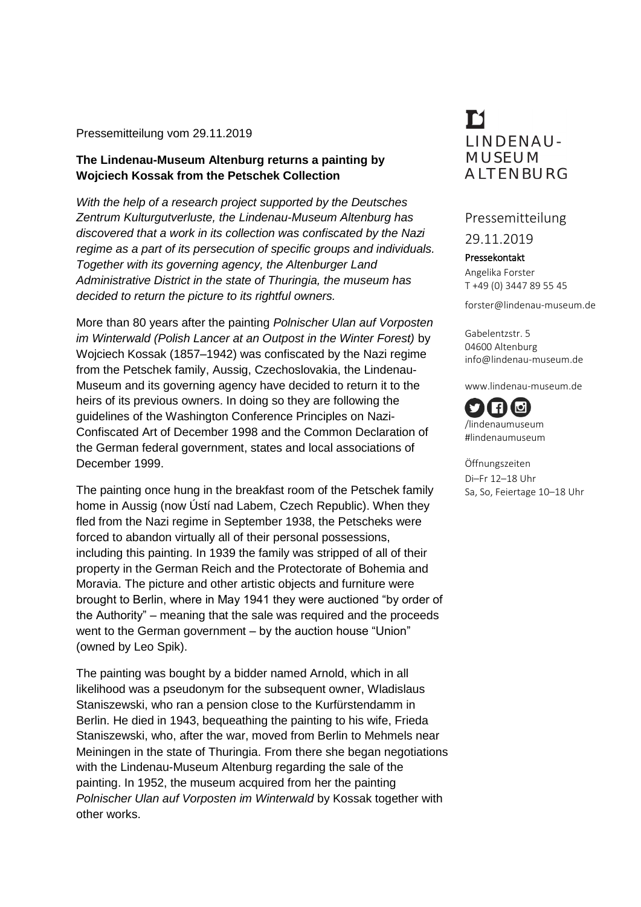## Pressemitteilung vom 29.11.2019

## **The Lindenau-Museum Altenburg returns a painting by Wojciech Kossak from the Petschek Collection**

*With the help of a research project supported by the Deutsches Zentrum Kulturgutverluste, the Lindenau-Museum Altenburg has discovered that a work in its collection was confiscated by the Nazi regime as a part of its persecution of specific groups and individuals. Together with its governing agency, the Altenburger Land Administrative District in the state of Thuringia, the museum has decided to return the picture to its rightful owners.*

More than 80 years after the painting *Polnischer Ulan auf Vorposten im Winterwald (Polish Lancer at an Outpost in the Winter Forest)* by Wojciech Kossak (1857–1942) was confiscated by the Nazi regime from the Petschek family, Aussig, Czechoslovakia, the Lindenau-Museum and its governing agency have decided to return it to the heirs of its previous owners. In doing so they are following the guidelines of the Washington Conference Principles on Nazi-Confiscated Art of December 1998 and the Common Declaration of the German federal government, states and local associations of December 1999.

The painting once hung in the breakfast room of the Petschek family home in Aussig (now Ústí nad Labem, Czech Republic). When they fled from the Nazi regime in September 1938, the Petscheks were forced to abandon virtually all of their personal possessions, including this painting. In 1939 the family was stripped of all of their property in the German Reich and the Protectorate of Bohemia and Moravia. The picture and other artistic objects and furniture were brought to Berlin, where in May 1941 they were auctioned "by order of the Authority" – meaning that the sale was required and the proceeds went to the German government – by the auction house "Union" (owned by Leo Spik).

The painting was bought by a bidder named Arnold, which in all likelihood was a pseudonym for the subsequent owner, Wladislaus Staniszewski, who ran a pension close to the Kurfürstendamm in Berlin. He died in 1943, bequeathing the painting to his wife, Frieda Staniszewski, who, after the war, moved from Berlin to Mehmels near Meiningen in the state of Thuringia. From there she began negotiations with the Lindenau-Museum Altenburg regarding the sale of the painting. In 1952, the museum acquired from her the painting *Polnischer Ulan auf Vorposten im Winterwald* by Kossak together with other works.

## M **IINDENAU-MUSEUM ALTENBURG**

## Pressemitteilung

29.11.2019

Pressekontakt Angelika Forster T +49 (0) 3447 89 55 45

forster@lindenau-museum.de

Gabelentzstr. 5 04600 Altenburg info@lindenau-museum.de

www.lindenau-museum.de

 $\blacksquare$ Юl /lindenaumuseum #lindenaumuseum

Öffnungszeiten Di–Fr 12–18 Uhr Sa, So, Feiertage 10–18 Uhr